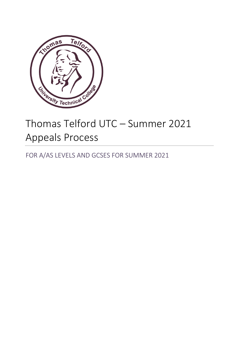

# Thomas Telford UTC – Summer 2021 Appeals Process

FOR A/AS LEVELS AND GCSES FOR SUMMER 2021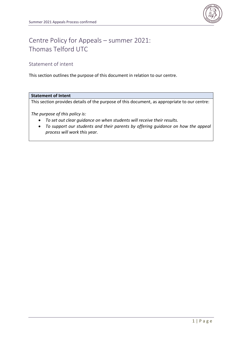

# Centre Policy for Appeals – summer 2021: Thomas Telford UTC

## Statement of intent

This section outlines the purpose of this document in relation to our centre.

#### **Statement of Intent**

This section provides details of the purpose of this document, as appropriate to our centre:

*The purpose of this policy is:*

- *To set out clear guidance on when students will receive their results.*
- *To support our students and their parents by offering guidance on how the appeal process will work this year.*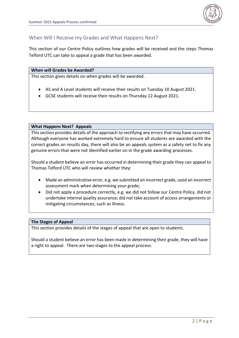

### When Will I Receive my Grades and What Happens Next?

This section of our Centre Policy outlines how grades will be received and the steps Thomas Telford UTC can take to appeal a grade that has been awarded.

#### **When will Grades be Awarded?**

This section gives details on when grades will be awarded.

- AS and A Level students will receive their results on Tuesday 10 August 2021.
- GCSE students will receive their results on Thursday 12 August 2021.

#### **What Happens Next? Appeals**

This section provides details of the approach to rectifying any errors that may have occurred. Although everyone has worked extremely hard to ensure all students are awarded with the correct grades on results day, there will also be an appeals system as a safety net to fix any genuine errors that were not identified earlier on in the grade awarding processes.

Should a student believe an error has occurred in determining their grade they can appeal to Thomas Telford UTC who will review whether they:

- Made an administrative error, e.g. we submitted an incorrect grade, used an incorrect assessment mark when determining your grade;
- Did not apply a procedure correctly, e.g. we did not follow our Centre Policy, did not undertake internal quality assurance; did not take account of access arrangements or mitigating circumstances, such as illness.

#### **The Stages of Appeal**

This section provides details of the stages of appeal that are open to students.

Should a student believe an error has been made in determining their grade, they will have a right to appeal. There are two stages to the appeal process.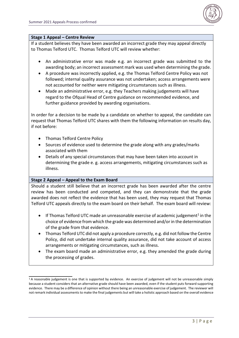

#### **Stage 1 Appeal – Centre Review**

If a student believes they have been awarded an incorrect grade they may appeal directly to Thomas Telford UTC. Thomas Telford UTC will review whether:

- An administrative error was made e.g. an incorrect grade was submitted to the awarding body; an incorrect assessment mark was used when determining the grade.
- A procedure was incorrectly applied, e.g. the Thomas Telford Centre Policy was not followed; internal quality assurance was not undertaken; access arrangements were not accounted for neither were mitigating circumstances such as illness.
- Made an administrative error, e.g. they Teachers making judgements will have regard to the Ofqual Head of Centre guidance on recommended evidence, and further guidance provided by awarding organisations.

In order for a decision to be made by a candidate on whether to appeal, the candidate can request that Thomas Telford UTC shares with them the following information on results day, if not before:

- Thomas Telford Centre Policy
- Sources of evidence used to determine the grade along with any grades/marks associated with them
- Details of any special circumstances that may have been taken into account in determining the grade e. g. access arrangements, mitigating circumstances such as illness.

#### **Stage 2 Appeal – Appeal to the Exam Board**

Should a student still believe that an incorrect grade has been awarded after the centre review has been conducted and competed, and they can demonstrate that the grade awarded does not reflect the evidence that has been used, they may request that Thomas Telford UTC appeals directly to the exam board on their behalf. The exam board will review:

- $\bullet$  If Thomas Telford UTC made an unreasonable exercise of academic judgement<sup>1</sup> in the choice of evidence from which the grade was determined and/or in the determination of the grade from that evidence.
- Thomas Telford UTC did not apply a procedure correctly, e.g. did not follow the Centre Policy, did not undertake internal quality assurance, did not take account of access arrangements or mitigating circumstances, such as illness.
- The exam board made an administrative error, e.g. they amended the grade during the processing of grades.

 $1A$  reasonable judgement is one that is supported by evidence. An exercise of judgement will not be unreasonable simply because a student considers that an alternative grade should have been awarded, even if the student puts forward supporting evidence. There may be a difference of opinion without there being an unreasonable exercise of judgement. The reviewer will not remark individual assessments to make the final judgements but will take a holistic approach based on the overall evidence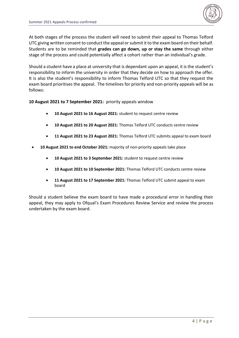

At both stages of the process the student will need to submit their appeal to Thomas Telford UTC giving written consent to conduct the appeal or submit it to the exam board on their behalf. Students are to be reminded that **grades can go down, up or stay the same** through either stage of the process and could potentially affect a cohort rather than an individual's grade.

Should a student have a place at university that is dependant upon an appeal, it is the student's responsibility to inform the university in order that they decide on how to approach the offer. It is also the student's responsibility to inform Thomas Telford UTC so that they request the exam board prioritises the appeal. The timelines for priority and non-priority appeals will be as follows:

**10 August 2021 to 7 September 2021:** priority appeals window

- **10 August 2021 to 16 August 2021:** student to request centre review
- **10 August 2021 to 20 August 2021:** Thomas Telford UTC conducts centre review
- **11 August 2021 to 23 August 2021:** Thomas Telford UTC submits appeal to exam board
- **10 August 2021 to end October 2021:** majority of non-priority appeals take place
	- **10 August 2021 to 3 September 2021:** student to request centre review
	- **10 August 2021 to 10 September 2021:** Thomas Telford UTC conducts centre review
	- **11 August 2021 to 17 September 2021:** Thomas Telford UTC submit appeal to exam board

Should a student believe the exam board to have made a procedural error in handling their appeal, they may apply to Ofqual's Exam Procedures Review Service and review the process undertaken by the exam board.